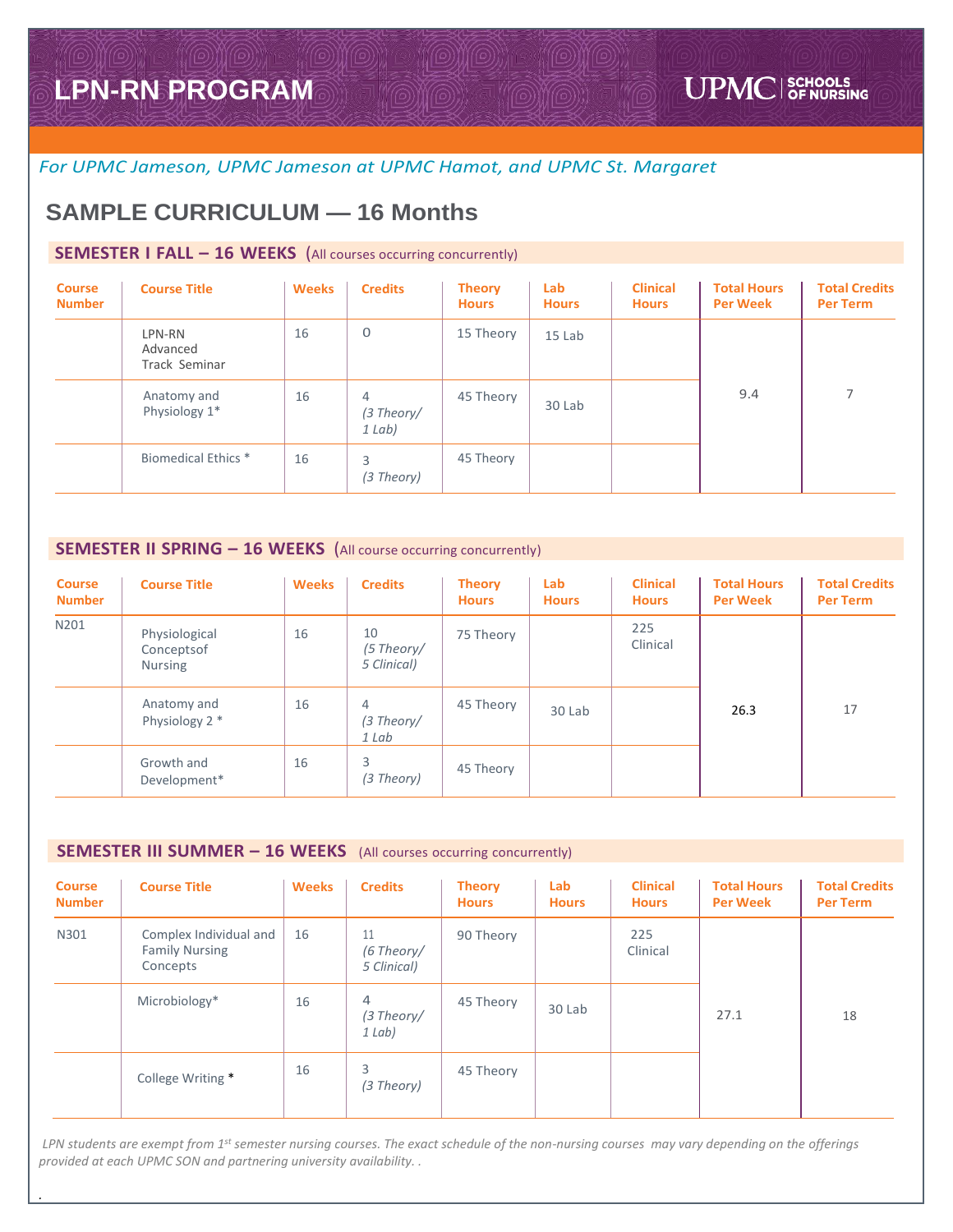## *For UPMC Jameson, UPMC Jameson at UPMC Hamot, and UPMC St. Margaret*

# **SAMPLE CURRICULUM — 16 Months**

## **SEMESTER I FALL – 16 WEEKS** (All courses occurring concurrently)

| <b>Course</b><br><b>Number</b> | <b>Course Title</b>                 | <b>Weeks</b> | <b>Credits</b>            | <b>Theory</b><br><b>Hours</b> | Lab<br><b>Hours</b> | <b>Clinical</b><br><b>Hours</b> | <b>Total Hours</b><br><b>Per Week</b> | <b>Total Credits</b><br><b>Per Term</b> |
|--------------------------------|-------------------------------------|--------------|---------------------------|-------------------------------|---------------------|---------------------------------|---------------------------------------|-----------------------------------------|
|                                | LPN-RN<br>Advanced<br>Track Seminar | 16           | $\mathbf{0}$              | 15 Theory                     | 15 Lab              |                                 |                                       |                                         |
|                                | Anatomy and<br>Physiology 1*        | 16           | 4<br>(3 Theory/<br>1 Lab) | 45 Theory                     | 30 Lab              |                                 | 9.4                                   | 7                                       |
|                                | <b>Biomedical Ethics *</b>          | 16           | 3<br>(3 Theory)           | 45 Theory                     |                     |                                 |                                       |                                         |

### **SEMESTER II SPRING – 16 WEEKS** (All course occurring concurrently)

| <b>Course</b><br><b>Number</b> | <b>Course Title</b>                           | <b>Weeks</b> | <b>Credits</b>                          | <b>Theory</b><br><b>Hours</b> | Lab<br><b>Hours</b> | <b>Clinical</b><br><b>Hours</b> | <b>Total Hours</b><br><b>Per Week</b> | <b>Total Credits</b><br><b>Per Term</b> |
|--------------------------------|-----------------------------------------------|--------------|-----------------------------------------|-------------------------------|---------------------|---------------------------------|---------------------------------------|-----------------------------------------|
| N201                           | Physiological<br>Conceptsof<br><b>Nursing</b> | 16           | 10<br>(5 Theory/<br>5 Clinical)         | 75 Theory                     |                     | 225<br>Clinical                 |                                       |                                         |
|                                | Anatomy and<br>Physiology 2 *                 | 16           | $\overline{4}$<br>$(3$ Theory/<br>1 Lab | 45 Theory                     | 30 Lab              |                                 | 26.3                                  | 17                                      |
|                                | Growth and<br>Development*                    | 16           | 3<br>(3 Theory)                         | 45 Theory                     |                     |                                 |                                       |                                         |

#### **SEMESTER III SUMMER – 16 WEEKS** (All courses occurring concurrently)

*.* 

| <b>Course</b><br><b>Number</b> | <b>Course Title</b>                                         | <b>Weeks</b> | <b>Credits</b>                  | <b>Theory</b><br><b>Hours</b> | Lab<br><b>Hours</b> | <b>Clinical</b><br><b>Hours</b> | <b>Total Hours</b><br><b>Per Week</b> | <b>Total Credits</b><br><b>Per Term</b> |
|--------------------------------|-------------------------------------------------------------|--------------|---------------------------------|-------------------------------|---------------------|---------------------------------|---------------------------------------|-----------------------------------------|
| N301                           | Complex Individual and<br><b>Family Nursing</b><br>Concepts | 16           | 11<br>(6 Theory/<br>5 Clinical) | 90 Theory                     |                     | 225<br>Clinical                 |                                       |                                         |
|                                | Microbiology*                                               | 16           | 4<br>(3 Theory/<br>1 Lab)       | 45 Theory                     | 30 Lab              |                                 | 27.1                                  | 18                                      |
|                                | College Writing *                                           | 16           | 3<br>(3 Theory)                 | 45 Theory                     |                     |                                 |                                       |                                         |

*LPN students are exempt from 1st semester nursing courses. The exact schedule of the non-nursing courses may vary depending on the offerings provided at each UPMC SON and partnering university availability. .*